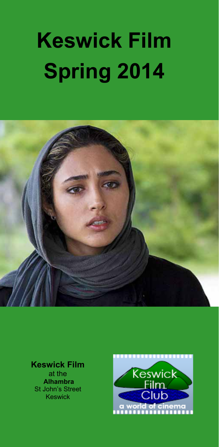# **Keswick Film Spring 2014**



#### **Keswick Film**

at the  **Alhambra**  St John's Street Keswick

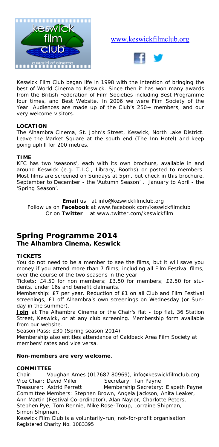

#### www.keswickfilmclub.org



Keswick Film Club began life in 1998 with the intention of bringing the best of World Cinema to Keswick. Since then it has won many awards from the British Federation of Film Societies including Best Programme four times, and Best Website. In 2006 we were Film Society of the Year. Audiences are made up of the Club's 250+ members, and our very welcome visitors.

#### **LOCATION**

The Alhambra Cinema, St. John's Street, Keswick, North Lake District. Leave the Market Square at the south end (The Inn Hotel) and keep going uphill for 200 metres.

#### **TIME**

KFC has two 'seasons', each with its own brochure, available in and around Keswick (e.g. T.I.C., Library, Booths) or posted to members. Most films are screened on Sundays at 5pm, but check in this brochure. September to December - the 'Autumn Season' . January to April - the 'Spring Season'.

**Email** us at info@keswickfilmclub.org Follow us on **Facebook** at www.facebook.com/keswickfilmclub Or on **Twitter** at www.twitter.com/keswickfilm

#### **Spring Programme 2014 The Alhambra Cinema, Keswick**

#### **TICKETS**

You do not need to be a member to see the films, but it will save you money if you attend more than 7 films, including all Film Festival films, over the course of the two seasons in the year.

*Tickets:* £4.50 for non members; £3.50 for members; £2.50 for students, under 16s and benefit claimants.

*Membership:* £7 per year. Reduction of £1 on all Club and Film Festival screenings, £1 off Alhambra's own screenings on Wednesday (or Sunday in the summer).

Join at The Alhambra Cinema or the Chair's flat - top flat, 36 Station Street, Keswick, or at any club screening. Membership form available from our website.

*Season Pass:* £30 (Spring season 2014)

Membership also entitles attendance of Caldbeck Area Film Society at members' rates and vice versa.

#### **Non-members are very welcome**.

#### **COMMITTEE**

Chair: Vaughan Ames (017687 80969), info@keswickfilmclub.org Vice Chair: David Miller Secretary: Ian Payne

Treasurer: Astrid Perrett Membership Secretary: Elspeth Payne Committee Members: Stephen Brown, Angela Jackson, Anita Leaker, Ann Martin (Festival Co-ordinator), Alan Naylor, Charlotte Peters, Stephen Pye, Tom Rennie, Mike Rose-Troup, Lorraine Shipman, Simon Shipman.

*Keswick Film Club is a voluntarily-run, not-for-profit organisation Registered Charity No. 1083395*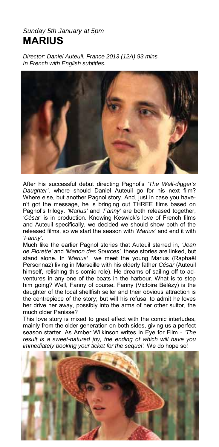#### *Sunday 5th January at 5pm*  **MARIUS**

*Director: Daniel Auteuil. France 2013 (12A) 93 mins. In French with English subtitles.*



After his successful debut directing Pagnol's *'The Well-digger's Daughter'*, where should Daniel Auteuil go for his next film? Where else, but another Pagnol story. And, just in case you haven't got the message, he is bringing out THREE films based on Pagnol's trilogy. *'Marius'* and *'Fanny'* are both released together, *'César'* is in production. Knowing Keswick's love of French films and Auteuil specifically, we decided we should show both of the released films, so we start the season with *'Marius'* and end it with *'Fanny'.* 

Much like the earlier Pagnol stories that Auteuil starred in, *'Jean de Florette'* and *'Manon des Sources',* these stories are linked, but stand alone. In *'Marius'* we meet the young Marius (Raphaël Personnaz) living in Marseille with his elderly father *César* (Auteuil himself, relishing this comic role). He dreams of sailing off to adventures in any one of the boats in the harbour. What is to stop him going? Well, Fanny of course. Fanny (Victoire Bélézy) is the daughter of the local shellfish seller and their obvious attraction is the centrepiece of the story; but will his refusal to admit he loves her drive her away, possibly into the arms of her other suitor, the much older Panisse?

This love story is mixed to great effect with the comic interludes, mainly from the older generation on both sides, giving us a perfect season starter. As Amber Wilkinson writes in Eye for Film - '*The result is a sweet-natured joy, the ending of which will have you immediately booking your ticket for the sequel'.* We do hope so!

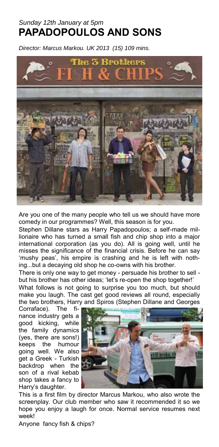## *Sunday 12th January at 5pm*  **PAPADOPOULOS AND SONS**

*Director: Marcus Markou. UK 2013 (15) 109 mins.* 



Are you one of the many people who tell us we should have more comedy in our programmes? Well, this season is for you.

Stephen Dillane stars as Harry Papadopoulos; a self-made millionaire who has turned a small fish and chip shop into a major international corporation (as you do). All is going well, until he misses the significance of the financial crisis. Before he can say 'mushy peas', his empire is crashing and he is left with nothing...but a decaying old shop he co-owns with his brother.

There is only one way to get money - persuade his brother to sell but his brother has other ideas; 'let's re-open the shop together!' What follows is not going to surprise you too much, but should make you laugh. The cast get good reviews all round, especially the two brothers, Harry and Spiros (Stephen Dillane and Georges

Corraface). The finance industry gets a good kicking, while the family dynamics (yes, there are sons!) keeps the humour going well. We also get a Greek - Turkish backdrop when the son of a rival kebab shop takes a fancy to Harry's daughter.



This is a first film by director Marcus Markou, who also wrote the screenplay. Our club member who saw it recommended it so we hope you enjoy a laugh for once. Normal service resumes next week!

Anyone fancy fish & chips?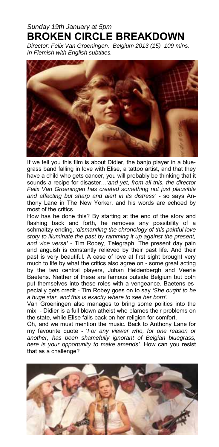### *Sunday 19th January at 5pm*  **BROKEN CIRCLE BREAKDOWN**

*Director: Felix Van Groeningen. Belgium 2013 (15) 109 mins. In Flemish with English subtitles.*



If we tell you this film is about Didier, the banjo player in a bluegrass band falling in love with Elise, a tattoo artist, and that they have a child who gets cancer, you will probably be thinking that it sounds a recipe for disaster…*'and yet, from all this, the director Felix Van Groeningen has created something not just plausible and affecting but sharp and alert in its distress'* - so says Anthony Lane in The New Yorker, and his words are echoed by most of the critics.

How has he done this? By starting at the end of the story and flashing back and forth, he removes any possibility of a schmaltzy ending, *'dismantling the chronology of this painful love story to illuminate the past by ramming it up against the present, and vice versa'* - Tim Robey, Telegraph. The present day pain and anguish is constantly relieved by their past life. And their past is very beautiful. A case of love at first sight brought very much to life by what the critics also agree on - some great acting by the two central players, Johan Heldenbergh and Veerie Baetens. Neither of these are famous outside Belgium but both put themselves into these roles with a vengeance. Baetens especially gets credit - Tim Robey goes on to say *'She ought to be a huge star, and this is exactly where to see her born'.*

Van Groeningen also manages to bring some politics into the mix - Didier is a full blown atheist who blames their problems on the state, while Elise falls back on her religion for comfort.

Oh, and we must mention the music. Back to Anthony Lane for my favourite quote - '*For any viewer who, for one reason or another, has been shamefully ignorant of Belgian bluegrass, here is your opportunity to make amends'.* How can you resist that as a challenge?

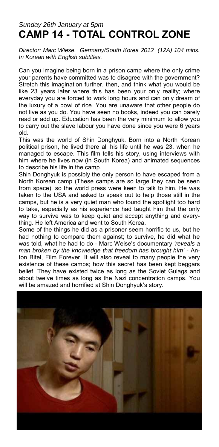#### *Sunday 26th January at 5pm*  **CAMP 14 - TOTAL CONTROL ZONE**

*Director: Marc Wiese. Germany/South Korea 2012 (12A) 104 mins. In Korean with English subtitles.* 

Can you imagine being born in a prison camp where the only crime your parents have committed was to disagree with the government? Stretch this imagination further, then, and think what you would be like 23 years later where this has been your only reality; where everyday you are forced to work long hours and can only dream of the luxury of a bowl of rice. You are unaware that other people do not live as you do. You have seen no books, indeed you can barely read or add up. Education has been the very minimum to allow you to carry out the slave labour you have done since you were 6 years old.

This was the world of Shin Donghyuk. Born into a North Korean political prison, he lived there all his life until he was 23, when he managed to escape. This film tells his story, using interviews with him where he lives now (in South Korea) and animated sequences to describe his life in the camp.

Shin Donghyuk is possibly the only person to have escaped from a North Korean camp (These camps are so large they can be seen from space), so the world press were keen to talk to him. He was taken to the USA and asked to speak out to help those still in the camps, but he is a very quiet man who found the spotlight too hard to take, especially as his experience had taught him that the only way to survive was to keep quiet and accept anything and everything. He left America and went to South Korea.

Some of the things he did as a prisoner seem horrific to us, but he had nothing to compare them against; to survive, he did what he was told, what he had to do - Marc Weise's documentary *'reveals a man broken by the knowledge that freedom has brought him'* - Anton Bitel, Film Forever. It will also reveal to many people the very existence of these camps; how this secret has been kept beggars belief. They have existed twice as long as the Soviet Gulags and about twelve times as long as the Nazi concentration camps. You will be amazed and horrified at Shin Donghyuk's story.

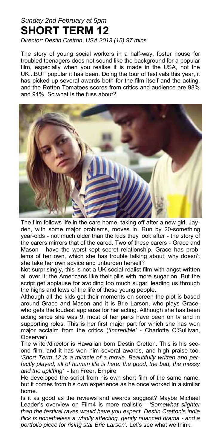## *Sunday 2nd February at 5pm*  **SHORT TERM 12**

*Director: Destin Cretton. USA 2013 (15) 97 mins.* 

The story of young social workers in a half-way, foster house for troubled teenagers does not sound like the background for a popular film, especially when you realise it is made in the USA, not the UK...BUT popular it has been. Doing the tour of festivals this year, it has picked up several awards both for the film itself and the acting, and the Rotten Tomatoes scores from critics and audience are 98% and 94%. So what is the fuss about?



The film follows life in the care home, taking off after a new girl, Jayden, with some major problems, moves in. Run by 20-something year-olds - not much older than the kids they look after - the story of the carers mirrors that of the cared. Two of these carers - Grace and Mason - have the worst-kept secret relationship. Grace has problems of her own, which she has trouble talking about; why doesn't she take her own advice and unburden herself?

Not surprisingly, this is not a UK social-realist film with angst written all over it; the Americans like their pills with more sugar on. But the script get applause for avoiding too much sugar, leading us through the highs and lows of the life of these young people.

Although all the kids get their moments on screen the plot is based around Grace and Mason and it is Brie Larson, who plays Grace, who gets the loudest applause for her acting. Although she has been acting since she was 9, most of her parts have been on tv and in supporting roles. This is her first major part for which she has won major acclaim from the critics (*'Incredible'* - Charlotte O'Sullivan, Observer)

The writer/director is Hawaiian born Destin Cretton. This is his second film, and it has won him several awards, and high praise too. *'Short Term 12 is a miracle of a movie. Beautifully written and perfectly played, all of human life is here: the good, the bad, the messy and the uplifting'* - Ian Freer, Empire

He developed the script from his own short film of the same name, but it comes from his own experience as he once worked in a similar home.

Is it as good as the reviews and awards suggest? Maybe Michael Leader's overview on Film4 is more realistic - *'Somewhat slighter than the festival raves would have you expect, Destin Cretton's indie flick is nonetheless a wholly affecting, gently nuanced drama - and a portfolio piece for rising star Brie Larson'.* Let's see what we think.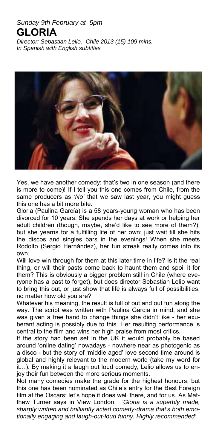#### *Sunday 9th February at 5pm*  **GLORIA**

*Director: Sebastian Lelio. Chile 2013 (15) 109 mins. In Spanish with English subtitles* 



Yes, we have another comedy; that's two in one season (and there is more to come)! If I tell you this one comes from Chile, from the same producers as *'No'* that we saw last year, you might guess this one has a bit more bite.

Gloria (Paulina García) is a 58 years-young woman who has been divorced for 10 years. She spends her days at work or helping her adult children (though, maybe, she'd like to see more of them?), but she yearns for a fulfilling life of her own; just wait till she hits the discos and singles bars in the evenings! When she meets Rodolfo (Sergio Hernández), her fun streak really comes into its own.

Will love win through for them at this later time in life? Is it the real thing, or will their pasts come back to haunt them and spoil it for them? This is obviously a bigger problem still in Chile (where everyone has a past to forget), but does director Sebastian Lelio want to bring this out, or just show that life is always full of possibilities, no matter how old you are?

Whatever his meaning, the result is full of out and out fun along the way. The script was written with Paulina Garcia in mind, and she was given a free hand to change things she didn't like - her exuberant acting is possibly due to this. Her resulting performance is central to the film and wins her high praise from most critics.

If the story had been set in the UK it would probably be based around 'online dating' nowadays - nowhere near as photogenic as a disco - but the story of 'middle aged' love second time around is global and highly relevant to the modern world (take my word for it…). By making it a laugh out loud comedy, Lelio allows us to enjoy their fun between the more serious moments.

Not many comedies make the grade for the highest honours, but this one has been nominated as Chile's entry for the Best Foreign film at the Oscars; let's hope it does well there, and for us. As Matthew Turner says in View London, *'Gloria is a superbly made, sharply written and brilliantly acted comedy-drama that's both emotionally engaging and laugh-out-loud funny. Highly recommended'*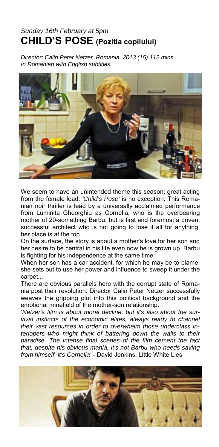## *Sunday 16th February at 5pm*  **CHILD'S POSE (Pozitia copilului)**

*Director: Calin Peter Netzer. Romania 2013 (15) 112 mins. In Romanian with English subtitles.* 



We seem to have an unintended theme this season; great acting from the female lead. *'Child's Pose'* is no exception. This Romanian noir thriller is lead by a universally acclaimed performance from Luminita Gheorghiu as Cornelia, who is the overbearing mother of 20-something Barbu, but is first and foremost a driven, successful architect who is not going to lose it all for anything; her place is at the top.

On the surface, the story is about a mother's love for her son and her desire to be central in his life even now he is grown up. Barbu is fighting for his independence at the same time.

When her son has a car accident, for which he may be to blame, she sets out to use her power and influence to sweep it under the carpet...

There are obvious parallels here with the corrupt state of Romania post their revolution. Director Calin Peter Netzer successfully weaves the gripping plot into this political background and the emotional minefield of the mother-son relationship.

'*Netzer's film is about moral decline, but it's also about the survival instincts of the economic elites, always ready to channel their vast resources in order to overwhelm those underclass interlopers who might think of battering down the walls to their paradise. The intense final scenes of the film cement the fact that, despite his obvious mania, it's not Barbu who needs saving from himself, it's Cornelia'* - David Jenkins, Little White Lies

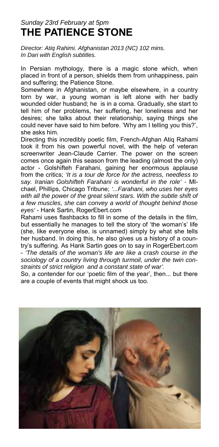#### *Sunday 23rd February at 5pm*  **THE PATIENCE STONE**

*Director: Atiq Rahimi. Afghanistan 2013 (NC) 102 mins. In Dari with English subtitles.* 

In Persian mythology, there is a magic stone which, when placed in front of a person, shields them from unhappiness, pain and suffering; the Patience Stone.

Somewhere in Afghanistan, or maybe elsewhere, in a country torn by war, a young woman is left alone with her badly wounded older husband; he is in a coma. Gradually, she start to tell him of her problems, her suffering, her loneliness and her desires; she talks about their relationship, saying things she could never have said to him before. 'Why am I telling you this?', she asks him.

Directing this incredibly poetic film, French-Afghan Atiq Rahami took it from his own powerful novel, with the help of veteran screenwriter Jean-Claude Carrier. The power on the screen comes once again this season from the leading (almost the only) actor - Golshifteh Farahani, gaining her enormous applause from the critics; *'It is a tour de force for the actress, needless to say. Iranian Golshifteh Farahani is wonderful in the role' -* MIchael, Phillips, Chicago Tribune; *'...Farahani, who uses her eyes with all the power of the great silent stars. With the subtle shift of a few muscles, she can convey a world of thought behind those eyes'* - Hank Sartin, RogerEbert.com

Rahami uses flashbacks to fill in some of the details in the film, but essentially he manages to tell the story of 'the woman's' life (she, like everyone else, is unnamed) simply by what she tells her husband. In doing this, he also gives us a history of a country's suffering. As Hank Sartin goes on to say in RogerEbert.com - *'The details of the woman's life are like a crash course in the sociology of a country living through turmoil, under the twin constraints of strict religion and a constant state of war'.*

So, a contender for our 'poetic film of the year', then... but there are a couple of events that might shock us too.

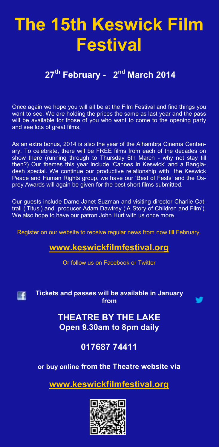## **The 15th Keswick Film Festival**

## **27th February - 2nd March 2014**

Once again we hope you will all be at the Film Festival and find things you want to see. We are holding the prices the same as last year and the pass will be available for those of you who want to come to the opening party and see lots of great films.

As an extra bonus, 2014 is also the year of the Alhambra Cinema Centenary. To celebrate, there will be FREE films from each of the decades on show there (running through to Thursday 6th March - why not stay till then?) Our themes this year include 'Cannes in Keswick' and a Bangladesh special. We continue our productive relationship with the Keswick Peace and Human Rights group, we have our 'Best of Fests' and the Osprey Awards will again be given for the best short films submitted.

Our guests include Dame Janet Suzman and visiting director Charlie Cattrall ('Titus') and producer Adam Dawtrey ('A Story of Children and Film'). We also hope to have our patron John Hurt with us once more.

Register on our website to receive regular news from now till February.

#### **www.keswickfilmfestival.org**

Or follow us on Facebook or Twitter



**Tickets and passes will be available in January from** 



**THEATRE BY THE LAKE Open 9.30am to 8pm daily** 

**017687 74411** 

**or buy online from the Theatre website via**

**www.keswickfilmfestival.org**

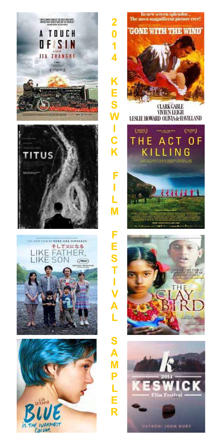

IS THE IVARMEST

Calour





**Film Festival** 

PATRONI ZORN HUST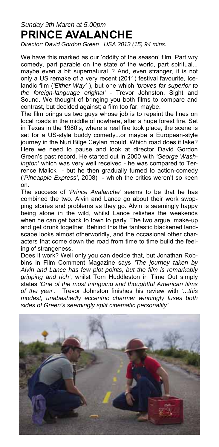## *Sunday 9th March at 5.00pm*  **PRINCE AVALANCHE**

*Director: David Gordon Green USA 2013 (15) 94 mins.* 

We have this marked as our 'oddity of the season' film. Part wry comedy, part parable on the state of the world, part spiritual... maybe even a bit supernatural..? And, even stranger, it is not only a US remake of a very recent (2011) festival favourite, Icelandic film (*'Either Way'* ), but one which *'proves far superior to the foreign-language original' -* Trevor Johnston, Sight and Sound. We thought of bringing you both films to compare and contrast, but decided against; a film too far, maybe.

The film brings us two guys whose job is to repaint the lines on local roads in the middle of nowhere, after a huge forest fire. Set in Texas in the 1980's, where a real fire took place, the scene is set for a US-style buddy comedy...or maybe a European-style journey in the Nuri Bilge Ceylan mould. Which road does it take? Here we need to pause and look at director David Gordon Green's past record. He started out in 2000 with *'George Washington'* which was very well received - he was compared to Terrence Malick - but he then gradually turned to action-comedy (*'Pineapple Express'*, 2008) - which the critics weren't so keen on.

The success of *'Prince Avalanche'* seems to be that he has combined the two. Alvin and Lance go about their work swopping stories and problems as they go. Alvin is seemingly happy being alone in the wild, whilst Lance relishes the weekends when he can get back to town to party. The two argue, make-up and get drunk together. Behind this the fantastic blackened landscape looks almost otherworldly, and the occasional other characters that come down the road from time to time build the feeling of strangeness.

Does it work? Well only you can decide that, but Jonathan Robbins in Film Comment Magazine says *'The journey taken by Alvin and Lance has few plot points, but the film is remarkably gripping and rich'*, whilst Tom Huddleston in Time Out simply states *'One of the most intriguing and thoughtful American films of the year'.* Trevor Johnston finishes his review with *'...this modest, unabashedly eccentric charmer winningly fuses both sides of Green's seemingly split cinematic personality'* 

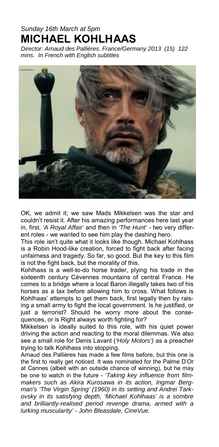## *Sunday 16th March at 5pm*  **MICHAEL KOHLHAAS**

*Director: Arnaud des Pallières. France/Germany 2013 (15) 122 mins. In French with English subtitles* 



OK, we admit it; we saw Mads Mikkelsen was the star and couldn't resist it. After his amazing performances here last year in, first, *'A Royal Affair'* and then in *'The Hunt'* - two very different roles - we wanted to see him play the dashing hero.

This role isn't quite what it looks like though. Michael Kohlhass is a Robin Hood-like creation, forced to fight back after facing unfairness and tragedy. So far, so good. But the key to this film is not the fight back, but the morality of this.

Kohlhass is a well-to-do horse trader, plying his trade in the sixteenth century Cévennes mountains of central France. He comes to a bridge where a local Baron illegally takes two of his horses as a tax before allowing him to cross. What follows is Kohlhaas' attempts to get them back, first legally then by raising a small army to fight the local government. Is he justified, or just a terrorist? Should he worry more about the consequences, or is Right always worth fighting for?

Mikkelsen is ideally suited to this role, with his quiet power driving the action and reacting to the moral dilemmas. We also see a small role for Denis Lavant (*'Holy Motors')* as a preacher trying to talk Kohlhass into stopping.

Arnaud des Pallières has made a few films before, but this one is the first to really get noticed. It was nominated for the Palme D'Or at Cannes (albeit with an outside chance of winning), but he may be one to watch in the future - '*Taking key influence from filmmakers such as Akira Kurosawa in its action, Ingmar Bergman's 'The Virgin Spring' (1960) in its setting and Andrei Tarkovsky in its satisfying depth, 'Michael Kohlhaas' is a sombre and brilliantly-realised period revenge drama, armed with a lurking muscularity' - John Bleasdale, CineVue.*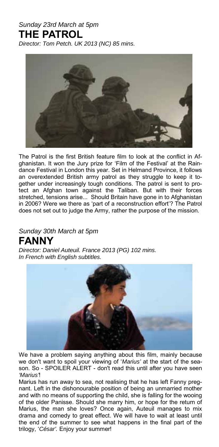## *Sunday 23rd March at 5pm*  **THE PATROL**

*Director: Tom Petch. UK 2013 (NC) 85 mins.* 



The Patrol is the first British feature film to look at the conflict in Afghanistan. It won the Jury prize for 'Film of the Festival' at the Raindance Festival in London this year. Set in Helmand Province, it follows an overextended British army patrol as they struggle to keep it together under increasingly tough conditions. The patrol is sent to protect an Afghan town against the Taliban. But with their forces stretched, tensions arise... Should Britain have gone in to Afghanistan in 2006? Were we there as 'part of a reconstruction effort'? The Patrol does not set out to judge the Army, rather the purpose of the mission.

#### *Sunday 30th March at 5pm*  **FANNY**

*Director: Daniel Auteuil. France 2013 (PG) 102 mins. In French with English subtitles.* 



We have a problem saying anything about this film, mainly because we don't want to spoil your viewing of '*Marius'* at the start of the season. So - SPOILER ALERT - don't read this until after you have seen *'Marius'*!

Marius has run away to sea, not realising that he has left Fanny pregnant. Left in the dishonourable position of being an unmarried mother and with no means of supporting the child, she is falling for the wooing of the older Panisse. Should she marry him, or hope for the return of Marius, the man she loves? Once again, Auteuil manages to mix drama and comedy to great effect. We will have to wait at least until the end of the summer to see what happens in the final part of the trilogy, '*César'.* Enjoy your summer!